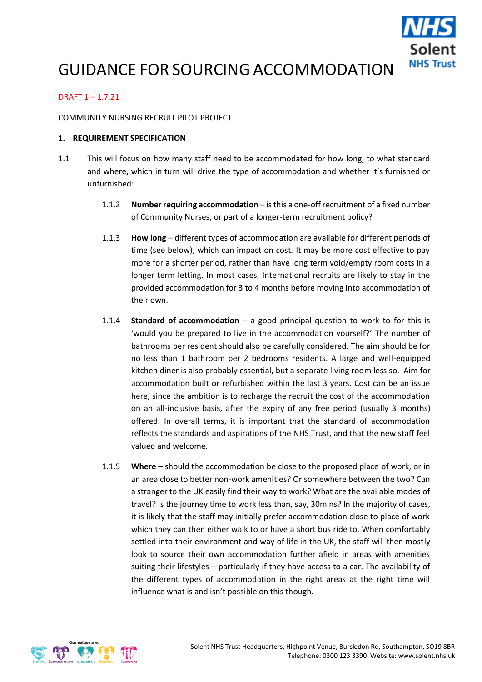

# GUIDANCE FOR SOURCING ACCOMMODATION

## DRAFT 1 – 1.7.21

#### COMMUNITY NURSING RECRUIT PILOT PROJECT

#### **1. REQUIREMENT SPECIFICATION**

- 1.1 This will focus on how many staff need to be accommodated for how long, to what standard and where, which in turn will drive the type of accommodation and whether it's furnished or unfurnished:
	- 1.1.2 **Number requiring accommodation** is this a one-off recruitment of a fixed number of Community Nurses, or part of a longer-term recruitment policy?
	- 1.1.3 **How long** different types of accommodation are available for different periods of time (see below), which can impact on cost. It may be more cost effective to pay more for a shorter period, rather than have long term void/empty room costs in a longer term letting. In most cases, International recruits are likely to stay in the provided accommodation for 3 to 4 months before moving into accommodation of their own.
	- 1.1.4 **Standard of accommodation** a good principal question to work to for this is 'would you be prepared to live in the accommodation yourself?' The number of bathrooms per resident should also be carefully considered. The aim should be for no less than 1 bathroom per 2 bedrooms residents. A large and well-equipped kitchen diner is also probably essential, but a separate living room less so. Aim for accommodation built or refurbished within the last 3 years. Cost can be an issue here, since the ambition is to recharge the recruit the cost of the accommodation on an all-inclusive basis, after the expiry of any free period (usually 3 months) offered. In overall terms, it is important that the standard of accommodation reflects the standards and aspirations of the NHS Trust, and that the new staff feel valued and welcome.
	- 1.1.5 **Where** should the accommodation be close to the proposed place of work, or in an area close to better non-work amenities? Or somewhere between the two? Can a stranger to the UK easily find their way to work? What are the available modes of travel? Is the journey time to work less than, say, 30mins? In the majority of cases, it is likely that the staff may initially prefer accommodation close to place of work which they can then either walk to or have a short bus ride to. When comfortably settled into their environment and way of life in the UK, the staff will then mostly look to source their own accommodation further afield in areas with amenities suiting their lifestyles – particularly if they have access to a car. The availability of the different types of accommodation in the right areas at the right time will influence what is and isn't possible on this though.

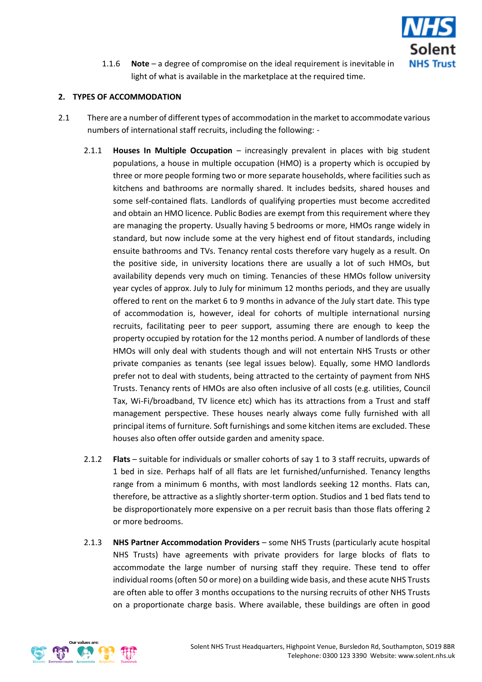

1.1.6 **Note** – a degree of compromise on the ideal requirement is inevitable in light of what is available in the marketplace at the required time.

### **2. TYPES OF ACCOMMODATION**

- 2.1 There are a number of different types of accommodation in the market to accommodate various numbers of international staff recruits, including the following: -
	- 2.1.1 **Houses In Multiple Occupation** increasingly prevalent in places with big student populations, a house in multiple occupation (HMO) is a property which is occupied by three or more people forming two or more separate households, where facilities such as kitchens and bathrooms are normally shared. It includes bedsits, shared houses and some self-contained flats. Landlords of qualifying properties must become accredited and obtain an HMO licence. Public Bodies are exempt from this requirement where they are managing the property. Usually having 5 bedrooms or more, HMOs range widely in standard, but now include some at the very highest end of fitout standards, including ensuite bathrooms and TVs. Tenancy rental costs therefore vary hugely as a result. On the positive side, in university locations there are usually a lot of such HMOs, but availability depends very much on timing. Tenancies of these HMOs follow university year cycles of approx. July to July for minimum 12 months periods, and they are usually offered to rent on the market 6 to 9 months in advance of the July start date. This type of accommodation is, however, ideal for cohorts of multiple international nursing recruits, facilitating peer to peer support, assuming there are enough to keep the property occupied by rotation for the 12 months period. A number of landlords of these HMOs will only deal with students though and will not entertain NHS Trusts or other private companies as tenants (see legal issues below). Equally, some HMO landlords prefer not to deal with students, being attracted to the certainty of payment from NHS Trusts. Tenancy rents of HMOs are also often inclusive of all costs (e.g. utilities, Council Tax, Wi-Fi/broadband, TV licence etc) which has its attractions from a Trust and staff management perspective. These houses nearly always come fully furnished with all principal items of furniture. Soft furnishings and some kitchen items are excluded. These houses also often offer outside garden and amenity space.
	- 2.1.2 **Flats** suitable for individuals or smaller cohorts of say 1 to 3 staff recruits, upwards of 1 bed in size. Perhaps half of all flats are let furnished/unfurnished. Tenancy lengths range from a minimum 6 months, with most landlords seeking 12 months. Flats can, therefore, be attractive as a slightly shorter-term option. Studios and 1 bed flats tend to be disproportionately more expensive on a per recruit basis than those flats offering 2 or more bedrooms.
	- 2.1.3 **NHS Partner Accommodation Providers** some NHS Trusts (particularly acute hospital NHS Trusts) have agreements with private providers for large blocks of flats to accommodate the large number of nursing staff they require. These tend to offer individual rooms (often 50 or more) on a building wide basis, and these acute NHS Trusts are often able to offer 3 months occupations to the nursing recruits of other NHS Trusts on a proportionate charge basis. Where available, these buildings are often in good

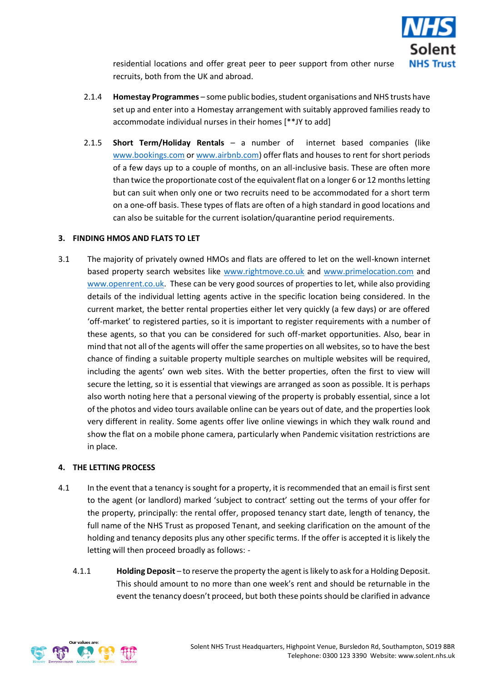

residential locations and offer great peer to peer support from other nurse recruits, both from the UK and abroad.

- 2.1.4 **Homestay Programmes** some public bodies, student organisations and NHS trusts have set up and enter into a Homestay arrangement with suitably approved families ready to accommodate individual nurses in their homes [\*\*JY to add]
- 2.1.5 **Short Term/Holiday Rentals** a number of internet based companies (like [www.bookings.com](http://www.bookings.com/) o[r www.airbnb.com\)](http://www.airbnb.com/) offer flats and houses to rent for short periods of a few days up to a couple of months, on an all-inclusive basis. These are often more than twice the proportionate cost of the equivalent flat on a longer 6 or 12 months letting but can suit when only one or two recruits need to be accommodated for a short term on a one-off basis. These types of flats are often of a high standard in good locations and can also be suitable for the current isolation/quarantine period requirements.

## **3. FINDING HMOS AND FLATS TO LET**

3.1 The majority of privately owned HMOs and flats are offered to let on the well-known internet based property search websites like [www.rightmove.co.uk](http://www.rightmove.co.uk/) and [www.primelocation.com](http://www.primelocation.com/) and [www.openrent.co.uk.](http://www.openrent.co.uk/) These can be very good sources of properties to let, while also providing details of the individual letting agents active in the specific location being considered. In the current market, the better rental properties either let very quickly (a few days) or are offered 'off-market' to registered parties, so it is important to register requirements with a number of these agents, so that you can be considered for such off-market opportunities. Also, bear in mind that not all of the agents will offer the same properties on all websites, so to have the best chance of finding a suitable property multiple searches on multiple websites will be required, including the agents' own web sites. With the better properties, often the first to view will secure the letting, so it is essential that viewings are arranged as soon as possible. It is perhaps also worth noting here that a personal viewing of the property is probably essential, since a lot of the photos and video tours available online can be years out of date, and the properties look very different in reality. Some agents offer live online viewings in which they walk round and show the flat on a mobile phone camera, particularly when Pandemic visitation restrictions are in place.

## **4. THE LETTING PROCESS**

- 4.1 In the event that a tenancy is sought for a property, it is recommended that an email is first sent to the agent (or landlord) marked 'subject to contract' setting out the terms of your offer for the property, principally: the rental offer, proposed tenancy start date, length of tenancy, the full name of the NHS Trust as proposed Tenant, and seeking clarification on the amount of the holding and tenancy deposits plus any other specific terms. If the offer is accepted it is likely the letting will then proceed broadly as follows: -
	- 4.1.1 **Holding Deposit** to reserve the property the agent is likely to ask for a Holding Deposit. This should amount to no more than one week's rent and should be returnable in the event the tenancy doesn't proceed, but both these points should be clarified in advance

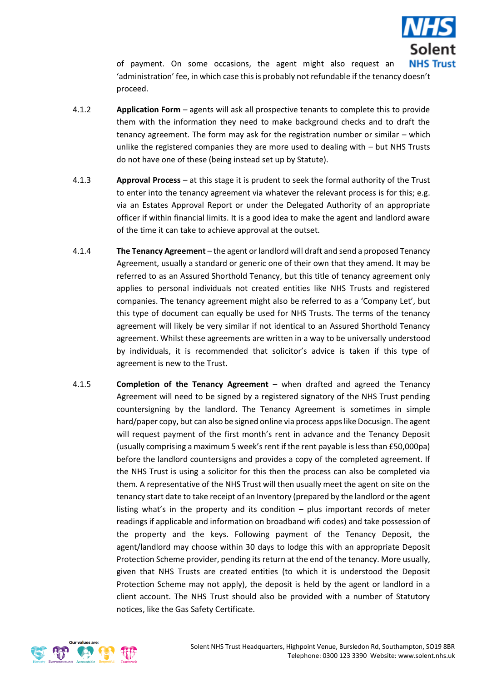

of payment. On some occasions, the agent might also request an 'administration' fee, in which case this is probably not refundable if the tenancy doesn't proceed.

- 4.1.2 **Application Form** agents will ask all prospective tenants to complete this to provide them with the information they need to make background checks and to draft the tenancy agreement. The form may ask for the registration number or similar – which unlike the registered companies they are more used to dealing with – but NHS Trusts do not have one of these (being instead set up by Statute).
- 4.1.3 **Approval Process** at this stage it is prudent to seek the formal authority of the Trust to enter into the tenancy agreement via whatever the relevant process is for this; e.g. via an Estates Approval Report or under the Delegated Authority of an appropriate officer if within financial limits. It is a good idea to make the agent and landlord aware of the time it can take to achieve approval at the outset.
- 4.1.4 **The Tenancy Agreement** the agent or landlord will draft and send a proposed Tenancy Agreement, usually a standard or generic one of their own that they amend. It may be referred to as an Assured Shorthold Tenancy, but this title of tenancy agreement only applies to personal individuals not created entities like NHS Trusts and registered companies. The tenancy agreement might also be referred to as a 'Company Let', but this type of document can equally be used for NHS Trusts. The terms of the tenancy agreement will likely be very similar if not identical to an Assured Shorthold Tenancy agreement. Whilst these agreements are written in a way to be universally understood by individuals, it is recommended that solicitor's advice is taken if this type of agreement is new to the Trust.
- 4.1.5 **Completion of the Tenancy Agreement** when drafted and agreed the Tenancy Agreement will need to be signed by a registered signatory of the NHS Trust pending countersigning by the landlord. The Tenancy Agreement is sometimes in simple hard/paper copy, but can also be signed online via process apps like Docusign. The agent will request payment of the first month's rent in advance and the Tenancy Deposit (usually comprising a maximum 5 week's rent if the rent payable is less than £50,000pa) before the landlord countersigns and provides a copy of the completed agreement. If the NHS Trust is using a solicitor for this then the process can also be completed via them. A representative of the NHS Trust will then usually meet the agent on site on the tenancy start date to take receipt of an Inventory (prepared by the landlord or the agent listing what's in the property and its condition – plus important records of meter readings if applicable and information on broadband wifi codes) and take possession of the property and the keys. Following payment of the Tenancy Deposit, the agent/landlord may choose within 30 days to lodge this with an appropriate Deposit Protection Scheme provider, pending its return at the end of the tenancy. More usually, given that NHS Trusts are created entities (to which it is understood the Deposit Protection Scheme may not apply), the deposit is held by the agent or landlord in a client account. The NHS Trust should also be provided with a number of Statutory notices, like the Gas Safety Certificate.

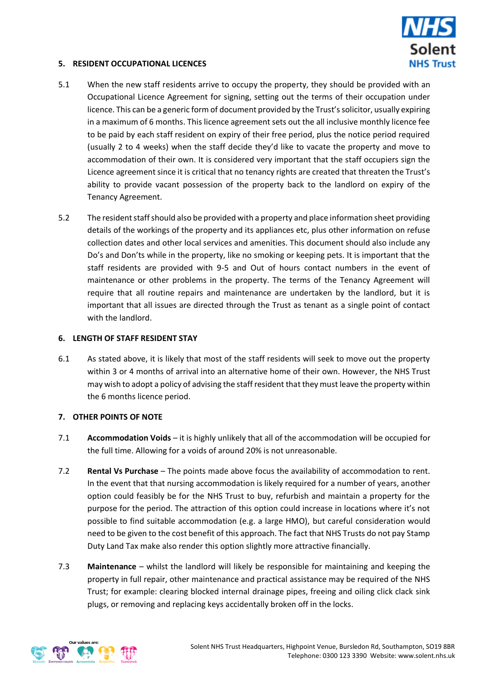

#### **5. RESIDENT OCCUPATIONAL LICENCES**

- 5.1 When the new staff residents arrive to occupy the property, they should be provided with an Occupational Licence Agreement for signing, setting out the terms of their occupation under licence. This can be a generic form of document provided by the Trust's solicitor, usually expiring in a maximum of 6 months. This licence agreement sets out the all inclusive monthly licence fee to be paid by each staff resident on expiry of their free period, plus the notice period required (usually 2 to 4 weeks) when the staff decide they'd like to vacate the property and move to accommodation of their own. It is considered very important that the staff occupiers sign the Licence agreement since it is critical that no tenancy rights are created that threaten the Trust's ability to provide vacant possession of the property back to the landlord on expiry of the Tenancy Agreement.
- 5.2 The resident staff should also be provided with a property and place information sheet providing details of the workings of the property and its appliances etc, plus other information on refuse collection dates and other local services and amenities. This document should also include any Do's and Don'ts while in the property, like no smoking or keeping pets. It is important that the staff residents are provided with 9-5 and Out of hours contact numbers in the event of maintenance or other problems in the property. The terms of the Tenancy Agreement will require that all routine repairs and maintenance are undertaken by the landlord, but it is important that all issues are directed through the Trust as tenant as a single point of contact with the landlord.

#### **6. LENGTH OF STAFF RESIDENT STAY**

6.1 As stated above, it is likely that most of the staff residents will seek to move out the property within 3 or 4 months of arrival into an alternative home of their own. However, the NHS Trust may wish to adopt a policy of advising the staff resident that they must leave the property within the 6 months licence period.

#### **7. OTHER POINTS OF NOTE**

- 7.1 **Accommodation Voids** it is highly unlikely that all of the accommodation will be occupied for the full time. Allowing for a voids of around 20% is not unreasonable.
- 7.2 **Rental Vs Purchase** The points made above focus the availability of accommodation to rent. In the event that that nursing accommodation is likely required for a number of years, another option could feasibly be for the NHS Trust to buy, refurbish and maintain a property for the purpose for the period. The attraction of this option could increase in locations where it's not possible to find suitable accommodation (e.g. a large HMO), but careful consideration would need to be given to the cost benefit of this approach. The fact that NHS Trusts do not pay Stamp Duty Land Tax make also render this option slightly more attractive financially.
- 7.3 **Maintenance** whilst the landlord will likely be responsible for maintaining and keeping the property in full repair, other maintenance and practical assistance may be required of the NHS Trust; for example: clearing blocked internal drainage pipes, freeing and oiling click clack sink plugs, or removing and replacing keys accidentally broken off in the locks.